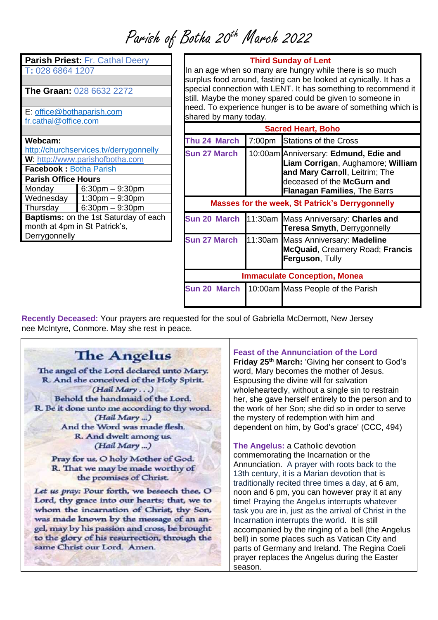## Parish of Botha 20<sup>th</sup> March 2022

| Parish Priest: Fr. Cathal Deery              |                      |  |
|----------------------------------------------|----------------------|--|
| T: 028 6864 1207                             |                      |  |
|                                              |                      |  |
| <b>The Graan: 028 6632 2272</b>              |                      |  |
|                                              |                      |  |
| E: office@bothaparish.com                    |                      |  |
| fr.cathal@office.com                         |                      |  |
|                                              |                      |  |
| Webcam:                                      |                      |  |
| http://churchservices.tv/derrygonnelly       |                      |  |
| W: http://www.parishofbotha.com              |                      |  |
| <b>Facebook: Botha Parish</b>                |                      |  |
| <b>Parish Office Hours</b>                   |                      |  |
| Monday                                       | $6:30$ pm $-9:30$ pm |  |
| Wednesday                                    | $1:30$ pm $-9:30$ pm |  |
| Thursday                                     | $6:30$ pm $-9:30$ pm |  |
| <b>Baptisms:</b> on the 1st Saturday of each |                      |  |
| month at 4pm in St Patrick's,                |                      |  |
| Derrygonnelly                                |                      |  |
|                                              |                      |  |
|                                              |                      |  |

#### **Third Sunday of Lent**

In an age when so many are hungry while there is so much surplus food around, fasting can be looked at cynically. It has a special connection with LENT. It has something to recommend it still. Maybe the money spared could be given to someone in need. To experience hunger is to be aware of something which is shared by many today.

| <b>Sacred Heart, Boho</b>                              |        |                                                                                                                                                                                   |
|--------------------------------------------------------|--------|-----------------------------------------------------------------------------------------------------------------------------------------------------------------------------------|
| Thu 24 March                                           | 7:00pm | <b>Stations of the Cross</b>                                                                                                                                                      |
| <b>Sun 27 March</b>                                    |        | 10:00am Anniversary: Edmund, Edie and<br>Liam Corrigan, Aughamore; William<br>and Mary Carroll, Leitrim; The<br>deceased of the McGurn and<br><b>Flanagan Families, The Barrs</b> |
| <b>Masses for the week, St Patrick's Derrygonnelly</b> |        |                                                                                                                                                                                   |
| <b>Sun 20 March</b>                                    |        | 11:30am Mass Anniversary: Charles and<br><b>Teresa Smyth, Derrygonnelly</b>                                                                                                       |
| <b>Sun 27 March</b>                                    |        | 11:30am Mass Anniversary: Madeline<br><b>McQuaid, Creamery Road; Francis</b><br>Ferguson, Tully                                                                                   |
| <b>Immaculate Conception, Monea</b>                    |        |                                                                                                                                                                                   |
| <b>Sun 20 March</b>                                    |        | 10:00am Mass People of the Parish                                                                                                                                                 |

**Recently Deceased:** Your prayers are requested for the soul of Gabriella McDermott, New Jersey nee McIntyre, Conmore. May she rest in peace.

### **The Angelus**

The angel of the Lord declared unto Mary. R. And she conceived of the Holy Spirit. (Hail Mary...) Behold the handmaid of the Lord. R. Be it done unto me according to thy word. (Hail Mary ...) And the Word was made flesh. R. And dwelt among us. (Hail Mary ...)

Pray for us, O holy Mother of God. R. That we may be made worthy of the promises of Christ.

Let us pray: Pour forth, we beseech thee, O Lord, thy grace into our hearts; that, we to whom the incarnation of Christ, thy Son, was made known by the message of an angel, may by his passion and cross, be brought to the glory of his resurrection, through the same Christ our Lord. Amen.

#### **Feast of the Annunciation of the Lord**

**Friday 25th March:** 'Giving her consent to God's word, Mary becomes the mother of Jesus. Espousing the divine will for salvation wholeheartedly, without a single sin to restrain her, she gave herself entirely to the person and to the work of her Son; she did so in order to serve the mystery of redemption with him and dependent on him, by God's grace' (CCC, 494)

**The Angelus:** a Catholic devotion commemorating the Incarnation or the Annunciation. A prayer with roots back to the 13th century, it is a Marian devotion that is traditionally recited three times a day, at 6 am, noon and 6 pm, you can however pray it at any time! Praying the Angelus interrupts whatever task you are in, just as the arrival of Christ in the Incarnation interrupts the world. It is still accompanied by the ringing of a bell (the Angelus bell) in some places such as Vatican City and parts of Germany and Ireland. The Regina Coeli prayer replaces the Angelus during the Easter season.